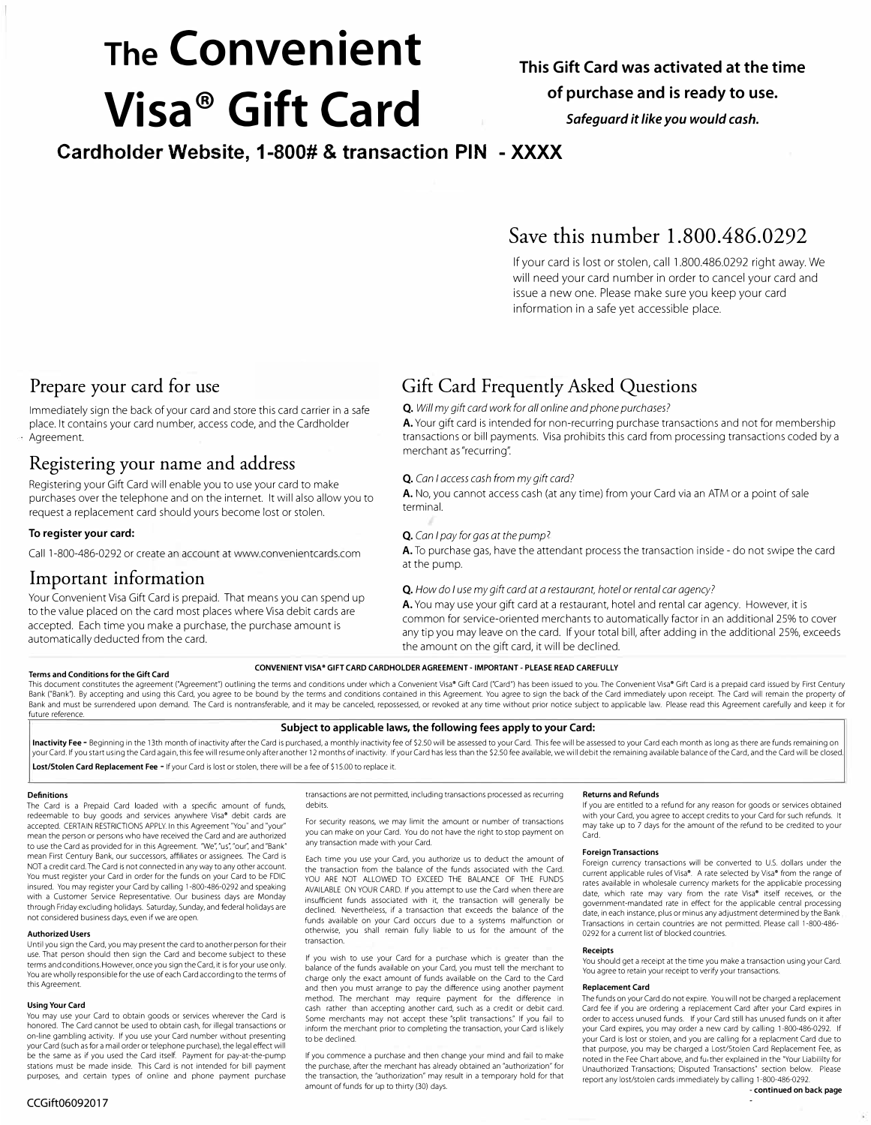# **The Convenient Visa ® Gift Card**

# **This Gift Card was activated at the time of purchase and is ready to use.**

*Safeguard it like you would cash.* 

**Cardholder Website, 1-800# & transaction PIN - XXXX**

# **Save this number 1.800.486.0292**

If your card is lost or stolen, call 1.800.486.0292 right away. We will need your card number in order to cancel your card and issue a new one. Please make sure you keep your card information in a safe yet accessible place.

# **Prepare your card for use**

Immediately sign the back of your card and store this card carrier in a safe place. It contains your card number, access code, and the Cardholder Agreement.

# **Registering your name and address**

Registering your Gift Card will enable you to use your card to make purchases over the telephone and on the internet. It will also allow you to request a replacement card should yours become lost or stolen.

# **To register your card:**

Call 1-800-486-0292 or create an account at www.convenientcards.com

# **Important information**

Your Convenient Visa Gift Card is prepaid. That means you can spend up to the value placed on the card most places where Visa debit cards are accepted. Each time you make a purchase, the purchase amount is automatically deducted from the card.

# **Gift Card Frequently Asked Questions**

# *Q. Will my gift card work for all on line and phone purchases?*

A. Your gift card is intended for non-recurring purchase transactions and not for membership transactions or bill payments. Visa prohibits this card from processing transactions coded by a merchant as "recurring".

# *Q. Can* I *access cash from my gift card?*

A. No, you cannot access cash (at any time) from your Card via an ATM or a point of sale terminal.

## *Q. Can* I *pay for gas at the pump7*

A. To purchase gas, have the attendant process the transaction inside - do not swipe the card at the pump.

# *Q. How do* I *use my gift card at a restaurant, hotel or rental car agency?*

A. You may use your gift card at a restaurant, hotel and rental car agency. However, it is common for service-oriented merchants to automatically factor in an additional 25% to cover any tip you may leave on the card. If your total bill, after adding in the additional 25%, exceeds the amount on the gift card, it will be declined.

#### **Terms and Conditions for the Gift Card**

## **CONVENIENT VISA• GIFT CARD CARDHOLDER AGREEMENT - IMPORTANT - PLEASE READ CAREFULLY**

This document constitutes the agreement ("Agreement") outlining the terms and conditions under which a Convenient Visa\* Gift Card ("Card") has been issued to you. The Convenient Visa\* Gift Card is a prepaid card issued by Bank ("Bank"). By accepting and using this Card, you agree to be bound by the terms and conditions contained in this Agreement. You agree to sign the back of the Card immediately upon receipt. The Card will remain the prop Bank and must be surrendered upon demand. The Card is nontransferable, and it may be canceled, repossessed, or revoked at any time without prior notice subject to applicable law. Please read this Agreement carefully and ke future reference.

## **Subject to applicable laws, the following fees apply to your Card:**

Inactivity Fee - Beginning in the 13th month of inactivity after the Card is purchased, a monthly inactivity fee of \$2.50 will be assessed to your Card. This fee will be assessed to your Card each month as long as there ar your Card. If you start using the Card again, this fee will resume only after another 12 months of inactivity. If your Card has less than the \$2.50 fee available, we will debit the remaining available balance of the Card, **Lost/Stolen Card Replacement Fee** - If your Card is lost or stolen, there will be a fee of \$15.00 to replace it.

## **Definitions**

The Card is a Prepaid Card loaded with a specific amount of funds, redeemable to buy goods and services anywhere Visa• debit cards are accepted. CERTAIN RESTRICTIONS APPLY. In this Agreement "You" and "your" mean the person or persons who have received the Card and are authorized to use the Card as provided for in this Agreement. "We", "us", "our", and "Bank" mean First Century Bank, our successors, affiliates or assignees. The Card is NOT a credit card. The Card is not connected in any way to any other account. You must register your Card in order for the funds on your Card to be FDIC insured. You may register your Card by calling 1-800-486-0292 and speaking with a Customer Service Representative. Our business days are Monday through Friday excluding holidays. Saturday, Sunday, and federal holidays are not considered business days, even if we are open.

#### **Authorized Users**

Until you sign the Card, you may present the card to another person for their use. That person should then sign the Card and become subject to these terms and conditions. However, once you sign the Card, it is for your use only. You are wholly responsible for the use of each Card according to the terms of this Agreement.

### **Using Your Card**

You may use your Card to obtain goods or services wherever the Card is honored. The Card cannot be used to obtain cash, for illegal transactions or on-line gambling activity. If you use your Card number without presenting your Card (such as for a mail order or telephone purchase), the legal effect will be the same as if you used the Card itself. Payment for pay-at-the-pump stations must be made inside. This Card is not intended for bill payment purposes, and certain types of online and phone payment purchase

transactions are not permitted, including transactions processed as recurring debits.

For security reasons, we may limit the amount or number of transactions you can make on your Card. You do not have the right to stop payment on any transaction made with your Card.

Each time you use your Card, you authorize us to deduct the amount of the transaction from the balance of the funds associated with the Card. YOU ARE NOT ALLOWED TO EXCEED THE BALANCE OF THE FUNDS AVAILABLE ON YOUR CARD. If you attempt to use the Card when there are insufficient funds associated with it, the transaction will generally be declined. Nevertheless, if a transaction that exceeds the balance of the funds available on your Card occurs due to a systems malfunction or otherwise, you shall remain fully liable to us for the amount of the transaction.

If you wish to use your Card for a purchase which is greater than the balance of the funds available on your Card, you must tell the merchant to charge only the exact amount of funds available on the Card to the Card and then you must arrange to pay the difference using another payment method. The merchant may require payment for the difference ln cash rather than accepting another card, such as a credit or debit card. Some merchants may not accept these "split transactions." If you fail to inform the merchant prior to completing the transaction, your Card islikely to be declined.

If you commence a purchase and then change your mind and fail to make the purchase, after the merchant has already obtained an "authorization" for the parentsse, and the increment has an easy obtained an damonization for that the transaction, the "authorization" may result in a temporary hold for that amount of funds for up to thirty (30) days.

#### **Returns and Refunds**

If you are entitled to a refund for any reason for goods or services obtained with your Card, you agree to accept credits to your Card for such refunds. It may take up to 7 days for the amount of the refund to be credited to your Card.

#### **Foreign Transactions**

Foreign currency transactions will be converted to U.S. dollars under the current applicable rules of Visa®. A rate selected by Visa® from the range of rates available in wholesale currency markets for the applicable processing date, which rate may vary from the rate Visa<sup>®</sup> itself receives, or the government-mandated rate in effect for the applicable central processing date, in each instance, plus or minus any adjustment determined by the Bank Transactions in certain countries are not permitted. Please call 1-800-486- 0292 for a current list of blocked countries.

#### **Receipts**

You should get a receipt at the time you make a transaction using your Card. You agree to retain your receipt to verify your transactions.

#### **Replacement Card**

The funds on your Card do not expire. You will not be charged a replacement Card fee if you are ordering a replacement Card after your Card expires in order to access unused funds. If your Card still has unused funds on it after your Card expires, you may order a new card by calling 1-800-486-0292. If your Card is lost or stolen, and you are calling for a replacment Card due to that purpose, you may be charged a Lost/Stolen Card Replacement Fee, as noted in the Fee Chart above, and fu,ther explained in the "Your Liabililty for Unauthorized Transactions; Disputed Transactions" section below. Please report any lost/stolen cards immediately by calling 1-800-486-0292.

-